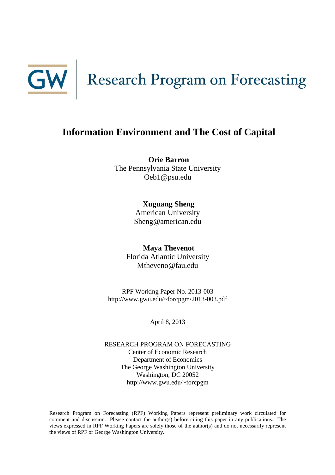

## **Information Environment and The Cost of Capital**

**Orie Barron** The Pennsylvania State University Oeb1@psu.edu

> **Xuguang Sheng** American University Sheng@american.edu

**Maya Thevenot** Florida Atlantic University Mtheveno@fau.edu

RPF Working Paper No. 2013-003 http://www.gwu.edu/~forcpgm/2013-003.pdf

April 8, 2013

RESEARCH PROGRAM ON FORECASTING Center of Economic Research Department of Economics The George Washington University Washington, DC 20052 http://www.gwu.edu/~forcpgm

Research Program on Forecasting (RPF) Working Papers represent preliminary work circulated for comment and discussion. Please contact the author(s) before citing this paper in any publications. The views expressed in RPF Working Papers are solely those of the author(s) and do not necessarily represent the views of RPF or George Washington University.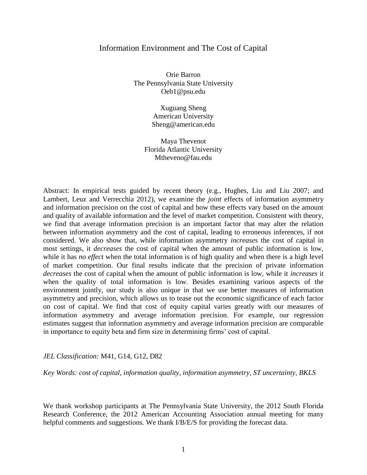### Information Environment and The Cost of Capital

Orie Barron The Pennsylvania State University Oeb1@psu.edu

> Xuguang Sheng American University Sheng@american.edu

Maya Thevenot Florida Atlantic University Mtheveno@fau.edu

Abstract: In empirical tests guided by recent theory (e.g., Hughes, Liu and Liu 2007; and Lambert, Leuz and Verrecchia 2012), we examine the *joint* effects of information asymmetry and information precision on the cost of capital and how these effects vary based on the amount and quality of available information and the level of market competition. Consistent with theory, we find that average information precision is an important factor that may alter the relation between information asymmetry and the cost of capital, leading to erroneous inferences, if not considered. We also show that, while information asymmetry *increases* the cost of capital in most settings, it *decreases* the cost of capital when the amount of public information is low, while it has *no effect* when the total information is of high quality and when there is a high level of market competition. Our final results indicate that the precision of private information *decreases* the cost of capital when the amount of public information is low, while it *increases* it when the quality of total information is low. Besides examining various aspects of the environment jointly, our study is also unique in that we use better measures of information asymmetry and precision, which allows us to tease out the economic significance of each factor on cost of capital. We find that cost of equity capital varies greatly with our measures of information asymmetry and average information precision. For example, our regression estimates suggest that information asymmetry and average information precision are comparable in importance to equity beta and firm size in determining firms' cost of capital.

### *JEL Classification:* M41, G14, G12, D82

*Key Words: cost of capital, information quality, information asymmetry, ST uncertainty, BKLS*

We thank workshop participants at The Pennsylvania State University, the 2012 South Florida Research Conference, the 2012 American Accounting Association annual meeting for many helpful comments and suggestions. We thank I/B/E/S for providing the forecast data.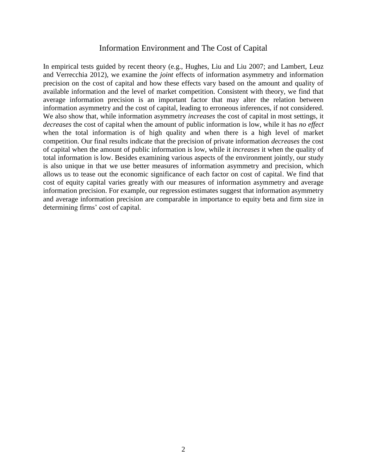### Information Environment and The Cost of Capital

In empirical tests guided by recent theory (e.g., Hughes, Liu and Liu 2007; and Lambert, Leuz and Verrecchia 2012), we examine the *joint* effects of information asymmetry and information precision on the cost of capital and how these effects vary based on the amount and quality of available information and the level of market competition. Consistent with theory, we find that average information precision is an important factor that may alter the relation between information asymmetry and the cost of capital, leading to erroneous inferences, if not considered. We also show that, while information asymmetry *increases* the cost of capital in most settings, it *decreases* the cost of capital when the amount of public information is low, while it has *no effect*  when the total information is of high quality and when there is a high level of market competition. Our final results indicate that the precision of private information *decreases* the cost of capital when the amount of public information is low, while it *increases* it when the quality of total information is low. Besides examining various aspects of the environment jointly, our study is also unique in that we use better measures of information asymmetry and precision, which allows us to tease out the economic significance of each factor on cost of capital. We find that cost of equity capital varies greatly with our measures of information asymmetry and average information precision. For example, our regression estimates suggest that information asymmetry and average information precision are comparable in importance to equity beta and firm size in determining firms' cost of capital.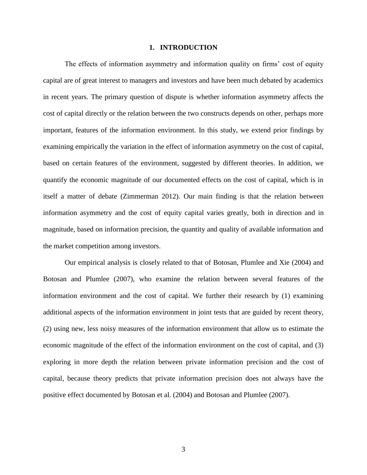### **1. INTRODUCTION**

The effects of information asymmetry and information quality on firms' cost of equity capital are of great interest to managers and investors and have been much debated by academics in recent years. The primary question of dispute is whether information asymmetry affects the cost of capital directly or the relation between the two constructs depends on other, perhaps more important, features of the information environment. In this study, we extend prior findings by examining empirically the variation in the effect of information asymmetry on the cost of capital, based on certain features of the environment, suggested by different theories. In addition, we quantify the economic magnitude of our documented effects on the cost of capital, which is in itself a matter of debate (Zimmerman 2012). Our main finding is that the relation between information asymmetry and the cost of equity capital varies greatly, both in direction and in magnitude, based on information precision, the quantity and quality of available information and the market competition among investors.

Our empirical analysis is closely related to that of Botosan, Plumlee and Xie (2004) and Botosan and Plumlee (2007), who examine the relation between several features of the information environment and the cost of capital. We further their research by (1) examining additional aspects of the information environment in joint tests that are guided by recent theory, (2) using new, less noisy measures of the information environment that allow us to estimate the economic magnitude of the effect of the information environment on the cost of capital, and (3) exploring in more depth the relation between private information precision and the cost of capital, because theory predicts that private information precision does not always have the positive effect documented by Botosan et al. (2004) and Botosan and Plumlee (2007).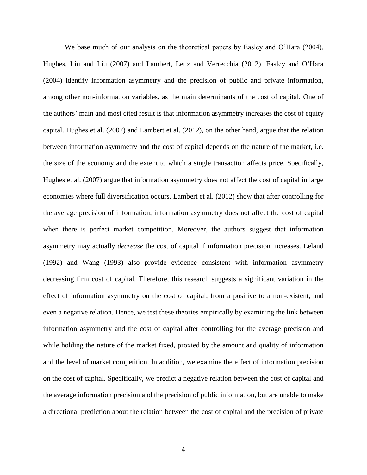We base much of our analysis on the theoretical papers by Easley and O'Hara (2004), Hughes, Liu and Liu (2007) and Lambert, Leuz and Verrecchia (2012). Easley and O'Hara (2004) identify information asymmetry and the precision of public and private information, among other non-information variables, as the main determinants of the cost of capital. One of the authors' main and most cited result is that information asymmetry increases the cost of equity capital. Hughes et al. (2007) and Lambert et al. (2012), on the other hand, argue that the relation between information asymmetry and the cost of capital depends on the nature of the market, i.e. the size of the economy and the extent to which a single transaction affects price. Specifically, Hughes et al. (2007) argue that information asymmetry does not affect the cost of capital in large economies where full diversification occurs. Lambert et al. (2012) show that after controlling for the average precision of information, information asymmetry does not affect the cost of capital when there is perfect market competition. Moreover, the authors suggest that information asymmetry may actually *decrease* the cost of capital if information precision increases. Leland (1992) and Wang (1993) also provide evidence consistent with information asymmetry decreasing firm cost of capital. Therefore, this research suggests a significant variation in the effect of information asymmetry on the cost of capital, from a positive to a non-existent, and even a negative relation. Hence, we test these theories empirically by examining the link between information asymmetry and the cost of capital after controlling for the average precision and while holding the nature of the market fixed, proxied by the amount and quality of information and the level of market competition. In addition, we examine the effect of information precision on the cost of capital. Specifically, we predict a negative relation between the cost of capital and the average information precision and the precision of public information, but are unable to make a directional prediction about the relation between the cost of capital and the precision of private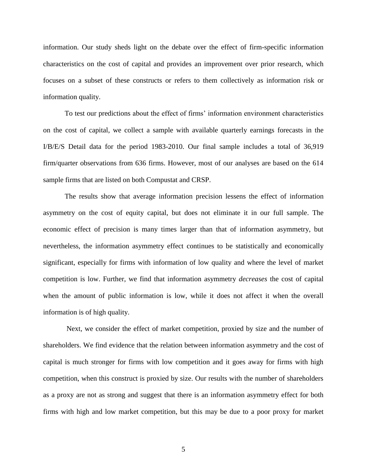information. Our study sheds light on the debate over the effect of firm-specific information characteristics on the cost of capital and provides an improvement over prior research, which focuses on a subset of these constructs or refers to them collectively as information risk or information quality.

To test our predictions about the effect of firms' information environment characteristics on the cost of capital, we collect a sample with available quarterly earnings forecasts in the I/B/E/S Detail data for the period 1983-2010. Our final sample includes a total of 36,919 firm/quarter observations from 636 firms. However, most of our analyses are based on the 614 sample firms that are listed on both Compustat and CRSP.

The results show that average information precision lessens the effect of information asymmetry on the cost of equity capital, but does not eliminate it in our full sample. The economic effect of precision is many times larger than that of information asymmetry, but nevertheless, the information asymmetry effect continues to be statistically and economically significant, especially for firms with information of low quality and where the level of market competition is low. Further, we find that information asymmetry *decreases* the cost of capital when the amount of public information is low, while it does not affect it when the overall information is of high quality.

Next, we consider the effect of market competition, proxied by size and the number of shareholders. We find evidence that the relation between information asymmetry and the cost of capital is much stronger for firms with low competition and it goes away for firms with high competition, when this construct is proxied by size. Our results with the number of shareholders as a proxy are not as strong and suggest that there is an information asymmetry effect for both firms with high and low market competition, but this may be due to a poor proxy for market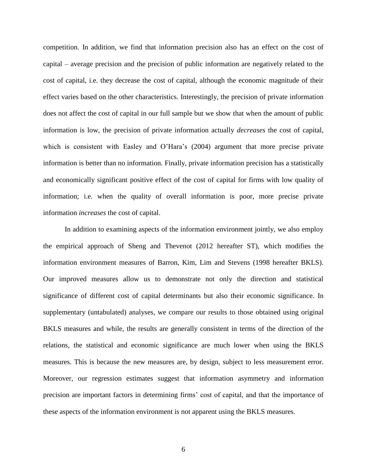competition. In addition, we find that information precision also has an effect on the cost of capital – average precision and the precision of public information are negatively related to the cost of capital, i.e. they decrease the cost of capital, although the economic magnitude of their effect varies based on the other characteristics. Interestingly, the precision of private information does not affect the cost of capital in our full sample but we show that when the amount of public information is low, the precision of private information actually *decreases* the cost of capital, which is consistent with Easley and O'Hara's (2004) argument that more precise private information is better than no information. Finally, private information precision has a statistically and economically significant positive effect of the cost of capital for firms with low quality of information; i.e. when the quality of overall information is poor, more precise private information *increases* the cost of capital.

In addition to examining aspects of the information environment jointly, we also employ the empirical approach of Sheng and Thevenot (2012 hereafter ST), which modifies the information environment measures of Barron, Kim, Lim and Stevens (1998 hereafter BKLS). Our improved measures allow us to demonstrate not only the direction and statistical significance of different cost of capital determinants but also their economic significance. In supplementary (untabulated) analyses, we compare our results to those obtained using original BKLS measures and while, the results are generally consistent in terms of the direction of the relations, the statistical and economic significance are much lower when using the BKLS measures. This is because the new measures are, by design, subject to less measurement error. Moreover, our regression estimates suggest that information asymmetry and information precision are important factors in determining firms' cost of capital, and that the importance of these aspects of the information environment is not apparent using the BKLS measures.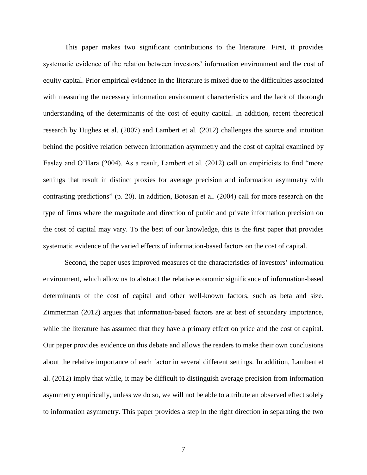This paper makes two significant contributions to the literature. First, it provides systematic evidence of the relation between investors' information environment and the cost of equity capital. Prior empirical evidence in the literature is mixed due to the difficulties associated with measuring the necessary information environment characteristics and the lack of thorough understanding of the determinants of the cost of equity capital. In addition, recent theoretical research by Hughes et al. (2007) and Lambert et al. (2012) challenges the source and intuition behind the positive relation between information asymmetry and the cost of capital examined by Easley and O'Hara (2004). As a result, Lambert et al. (2012) call on empiricists to find "more settings that result in distinct proxies for average precision and information asymmetry with contrasting predictions" (p. 20). In addition, Botosan et al. (2004) call for more research on the type of firms where the magnitude and direction of public and private information precision on the cost of capital may vary. To the best of our knowledge, this is the first paper that provides systematic evidence of the varied effects of information-based factors on the cost of capital.

Second, the paper uses improved measures of the characteristics of investors' information environment, which allow us to abstract the relative economic significance of information-based determinants of the cost of capital and other well-known factors, such as beta and size. Zimmerman (2012) argues that information-based factors are at best of secondary importance, while the literature has assumed that they have a primary effect on price and the cost of capital. Our paper provides evidence on this debate and allows the readers to make their own conclusions about the relative importance of each factor in several different settings. In addition, Lambert et al. (2012) imply that while, it may be difficult to distinguish average precision from information asymmetry empirically, unless we do so, we will not be able to attribute an observed effect solely to information asymmetry. This paper provides a step in the right direction in separating the two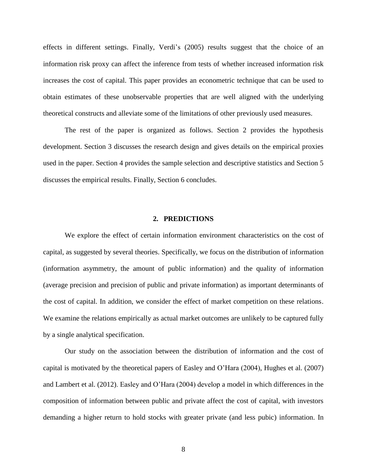effects in different settings. Finally, Verdi's (2005) results suggest that the choice of an information risk proxy can affect the inference from tests of whether increased information risk increases the cost of capital. This paper provides an econometric technique that can be used to obtain estimates of these unobservable properties that are well aligned with the underlying theoretical constructs and alleviate some of the limitations of other previously used measures.

The rest of the paper is organized as follows. Section 2 provides the hypothesis development. Section 3 discusses the research design and gives details on the empirical proxies used in the paper. Section 4 provides the sample selection and descriptive statistics and Section 5 discusses the empirical results. Finally, Section 6 concludes.

### **2. PREDICTIONS**

We explore the effect of certain information environment characteristics on the cost of capital, as suggested by several theories. Specifically, we focus on the distribution of information (information asymmetry, the amount of public information) and the quality of information (average precision and precision of public and private information) as important determinants of the cost of capital. In addition, we consider the effect of market competition on these relations. We examine the relations empirically as actual market outcomes are unlikely to be captured fully by a single analytical specification.

Our study on the association between the distribution of information and the cost of capital is motivated by the theoretical papers of Easley and O'Hara (2004), Hughes et al. (2007) and Lambert et al. (2012). Easley and O'Hara (2004) develop a model in which differences in the composition of information between public and private affect the cost of capital, with investors demanding a higher return to hold stocks with greater private (and less pubic) information. In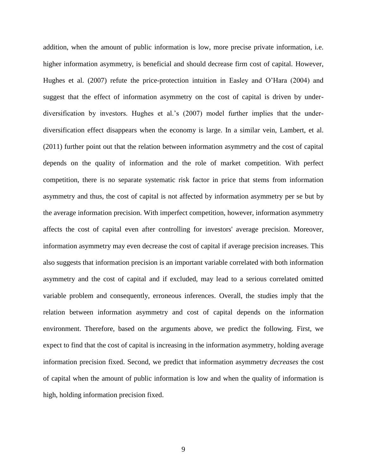addition, when the amount of public information is low, more precise private information, i.e. higher information asymmetry, is beneficial and should decrease firm cost of capital. However, Hughes et al. (2007) refute the price-protection intuition in Easley and O'Hara (2004) and suggest that the effect of information asymmetry on the cost of capital is driven by underdiversification by investors. Hughes et al.'s (2007) model further implies that the underdiversification effect disappears when the economy is large. In a similar vein, Lambert, et al. (2011) further point out that the relation between information asymmetry and the cost of capital depends on the quality of information and the role of market competition. With perfect competition, there is no separate systematic risk factor in price that stems from information asymmetry and thus, the cost of capital is not affected by information asymmetry per se but by the average information precision. With imperfect competition, however, information asymmetry affects the cost of capital even after controlling for investors' average precision. Moreover, information asymmetry may even decrease the cost of capital if average precision increases. This also suggests that information precision is an important variable correlated with both information asymmetry and the cost of capital and if excluded, may lead to a serious correlated omitted variable problem and consequently, erroneous inferences. Overall, the studies imply that the relation between information asymmetry and cost of capital depends on the information environment. Therefore, based on the arguments above, we predict the following. First, we expect to find that the cost of capital is increasing in the information asymmetry, holding average information precision fixed. Second, we predict that information asymmetry *decreases* the cost of capital when the amount of public information is low and when the quality of information is high, holding information precision fixed.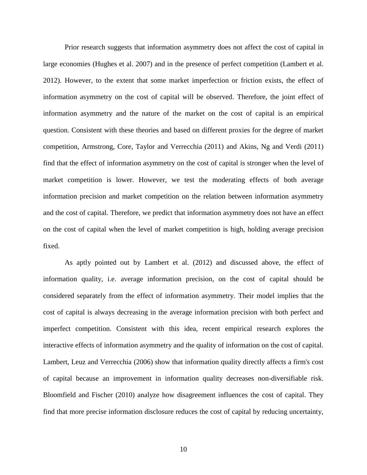Prior research suggests that information asymmetry does not affect the cost of capital in large economies (Hughes et al. 2007) and in the presence of perfect competition (Lambert et al. 2012). However, to the extent that some market imperfection or friction exists, the effect of information asymmetry on the cost of capital will be observed. Therefore, the joint effect of information asymmetry and the nature of the market on the cost of capital is an empirical question. Consistent with these theories and based on different proxies for the degree of market competition, Armstrong, Core, Taylor and Verrecchia (2011) and Akins, Ng and Verdi (2011) find that the effect of information asymmetry on the cost of capital is stronger when the level of market competition is lower. However, we test the moderating effects of both average information precision and market competition on the relation between information asymmetry and the cost of capital. Therefore, we predict that information asymmetry does not have an effect on the cost of capital when the level of market competition is high, holding average precision fixed.

As aptly pointed out by Lambert et al. (2012) and discussed above, the effect of information quality, i.e. average information precision, on the cost of capital should be considered separately from the effect of information asymmetry. Their model implies that the cost of capital is always decreasing in the average information precision with both perfect and imperfect competition. Consistent with this idea, recent empirical research explores the interactive effects of information asymmetry and the quality of information on the cost of capital. Lambert, Leuz and Verrecchia (2006) show that information quality directly affects a firm's cost of capital because an improvement in information quality decreases non-diversifiable risk. Bloomfield and Fischer (2010) analyze how disagreement influences the cost of capital. They find that more precise information disclosure reduces the cost of capital by reducing uncertainty,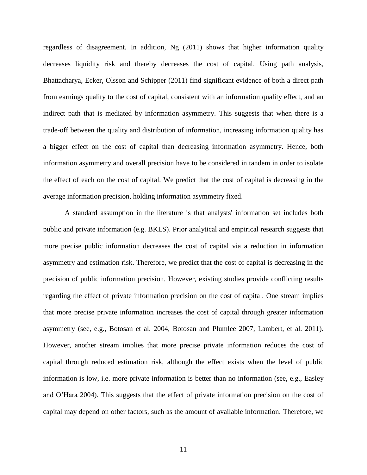regardless of disagreement. In addition, Ng (2011) shows that higher information quality decreases liquidity risk and thereby decreases the cost of capital. Using path analysis, Bhattacharya, Ecker, Olsson and Schipper (2011) find significant evidence of both a direct path from earnings quality to the cost of capital, consistent with an information quality effect, and an indirect path that is mediated by information asymmetry. This suggests that when there is a trade-off between the quality and distribution of information, increasing information quality has a bigger effect on the cost of capital than decreasing information asymmetry. Hence, both information asymmetry and overall precision have to be considered in tandem in order to isolate the effect of each on the cost of capital. We predict that the cost of capital is decreasing in the average information precision, holding information asymmetry fixed.

A standard assumption in the literature is that analysts' information set includes both public and private information (e.g. BKLS). Prior analytical and empirical research suggests that more precise public information decreases the cost of capital via a reduction in information asymmetry and estimation risk. Therefore, we predict that the cost of capital is decreasing in the precision of public information precision. However, existing studies provide conflicting results regarding the effect of private information precision on the cost of capital. One stream implies that more precise private information increases the cost of capital through greater information asymmetry (see, e.g., Botosan et al. 2004, Botosan and Plumlee 2007, Lambert, et al. 2011). However, another stream implies that more precise private information reduces the cost of capital through reduced estimation risk, although the effect exists when the level of public information is low, i.e. more private information is better than no information (see, e.g., Easley and O'Hara 2004). This suggests that the effect of private information precision on the cost of capital may depend on other factors, such as the amount of available information. Therefore, we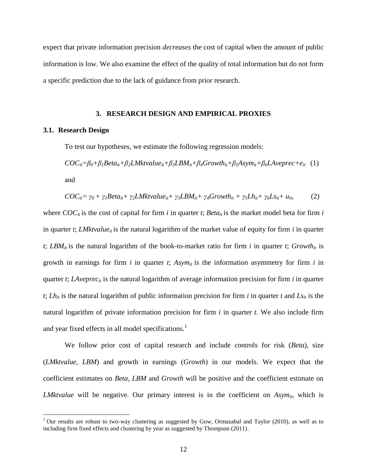expect that private information precision *decreases* the cost of capital when the amount of public information is low. We also examine the effect of the quality of total information but do not form a specific prediction due to the lack of guidance from prior research.

### **3. RESEARCH DESIGN AND EMPIRICAL PROXIES**

### **3.1. Research Design**

 $\overline{\phantom{a}}$ 

To test our hypotheses, we estimate the following regression models:

 $COC_{it} = \beta_0 + \beta_1 Beta_{it} + \beta_2 LMktvalue_{it} + \beta_3 LBM_{it} + \beta_4 Growth_{it} + \beta_5 Asym_{it} + \beta_6 LAveprec + e_{it}$  (1) and

$$
COC_{it} = \gamma_0 + \gamma_1 Beta_{it} + \gamma_2 LMkt value_{it} + \gamma_3 LBM_{it} + \gamma_4 Growth_{it} + \gamma_5 Lh_{it} + \gamma_6 Ls_{it} + u_{it},
$$
 (2)

where  $COC_i$  is the cost of capital for firm *i* in quarter *t*; *Beta<sub>it</sub>* is the market model beta for firm *i* in quarter *t*; *LMktvalue*<sub>*it*</sub> is the natural logarithm of the market value of equity for firm *i* in quarter  $t$ ; *LBM*<sup>*it*</sup> is the natural logarithm of the book-to-market ratio for firm *i* in quarter *t*; *Growth*<sup>*it*</sup> is growth in earnings for firm  $i$  in quarter  $t$ ;  $Asym<sub>it</sub>$  is the information asymmetry for firm  $i$  in quarter *t*; *LAveprec<sub>it</sub>* is the natural logarithm of average information precision for firm *i* in quarter  $t$ ; *Lh*<sup>*it*</sup> is the natural logarithm of public information precision for firm *i* in quarter *t* and *Ls*<sup>*it*</sup> is the natural logarithm of private information precision for firm *i* in quarter *t*. We also include firm and year fixed effects in all model specifications.<sup>1</sup>

We follow prior cost of capital research and include controls for risk (*Beta*), size (*LMktvalue*, *LBM*) and growth in earnings (*Growth*) in our models. We expect that the coefficient estimates on *Beta*, *LBM* and *Growth* will be positive and the coefficient estimate on *LMktvalue* will be negative. Our primary interest is in the coefficient on *Asym<sub>it</sub>*, which is

 $1$  Our results are robust to two-way clustering as suggested by Gow, Ormazabal and Taylor (2010), as well as to including firm fixed effects and clustering by year as suggested by Thompson (2011).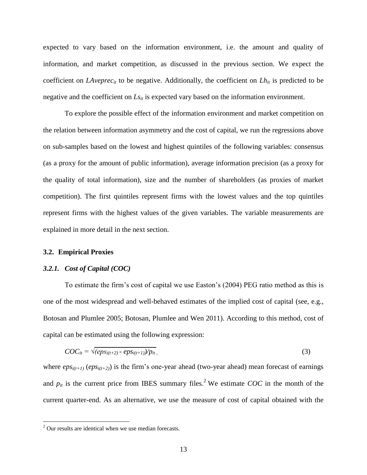expected to vary based on the information environment, i.e. the amount and quality of information, and market competition, as discussed in the previous section. We expect the coefficient on *LAveprec<sub>it</sub>* to be negative. Additionally, the coefficient on  $Lh_{it}$  is predicted to be negative and the coefficient on  $Ls$ <sup>*it*</sup> is expected vary based on the information environment.

To explore the possible effect of the information environment and market competition on the relation between information asymmetry and the cost of capital, we run the regressions above on sub-samples based on the lowest and highest quintiles of the following variables: consensus (as a proxy for the amount of public information), average information precision (as a proxy for the quality of total information), size and the number of shareholders (as proxies of market competition). The first quintiles represent firms with the lowest values and the top quintiles represent firms with the highest values of the given variables. The variable measurements are explained in more detail in the next section.

### **3.2. Empirical Proxies**

 $\overline{\phantom{a}}$ 

### *3.2.1. Cost of Capital (COC)*

To estimate the firm's cost of capital we use Easton's (2004) PEG ratio method as this is one of the most widespread and well-behaved estimates of the implied cost of capital (see, e.g., Botosan and Plumlee 2005; Botosan, Plumlee and Wen 2011). According to this method, cost of capital can be estimated using the following expression:

$$
COC_{it} = \sqrt{\left(\frac{eps_{i(t+2)} - \frac{eps_{i(t+1)}}{p}\right)}{p_{it}}},\tag{3}
$$

where  $\epsilon p s_{i(t+1)} (\epsilon p s_{i(t+2)})$  is the firm's one-year ahead (two-year ahead) mean forecast of earnings and  $p_{it}$  is the current price from IBES summary files.<sup>2</sup> We estimate *COC* in the month of the current quarter-end. As an alternative, we use the measure of cost of capital obtained with the

 $2$  Our results are identical when we use median forecasts.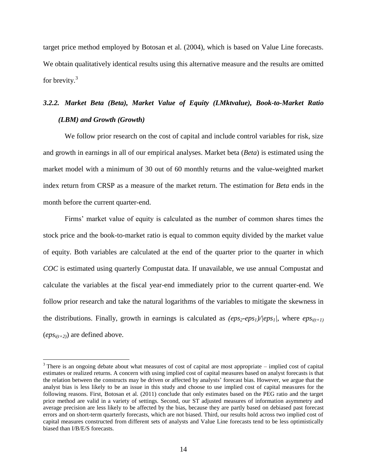target price method employed by Botosan et al. (2004), which is based on Value Line forecasts. We obtain qualitatively identical results using this alternative measure and the results are omitted for brevity.<sup>3</sup>

# *3.2.2. Market Beta (Beta), Market Value of Equity (LMktvalue), Book-to-Market Ratio (LBM) and Growth (Growth)*

We follow prior research on the cost of capital and include control variables for risk, size and growth in earnings in all of our empirical analyses. Market beta (*Beta*) is estimated using the market model with a minimum of 30 out of 60 monthly returns and the value-weighted market index return from CRSP as a measure of the market return. The estimation for *Beta* ends in the month before the current quarter-end.

Firms' market value of equity is calculated as the number of common shares times the stock price and the book-to-market ratio is equal to common equity divided by the market value of equity. Both variables are calculated at the end of the quarter prior to the quarter in which *COC* is estimated using quarterly Compustat data. If unavailable, we use annual Compustat and calculate the variables at the fiscal year-end immediately prior to the current quarter-end. We follow prior research and take the natural logarithms of the variables to mitigate the skewness in the distributions. Finally, growth in earnings is calculated as  $(eps_2-eps_1)/|eps_1|$ , where  $eps_{i(t+1)}$  $(eps_{i(t+2)})$  are defined above.

 $\overline{\phantom{a}}$ 

 $3$  There is an ongoing debate about what measures of cost of capital are most appropriate – implied cost of capital estimates or realized returns. A concern with using implied cost of capital measures based on analyst forecasts is that the relation between the constructs may be driven or affected by analysts' forecast bias. However, we argue that the analyst bias is less likely to be an issue in this study and choose to use implied cost of capital measures for the following reasons. First, Botosan et al. (2011) conclude that only estimates based on the PEG ratio and the target price method are valid in a variety of settings. Second, our ST adjusted measures of information asymmetry and average precision are less likely to be affected by the bias, because they are partly based on debiased past forecast errors and on short-term quarterly forecasts, which are not biased. Third, our results hold across two implied cost of capital measures constructed from different sets of analysts and Value Line forecasts tend to be less optimistically biased than I/B/E/S forecasts.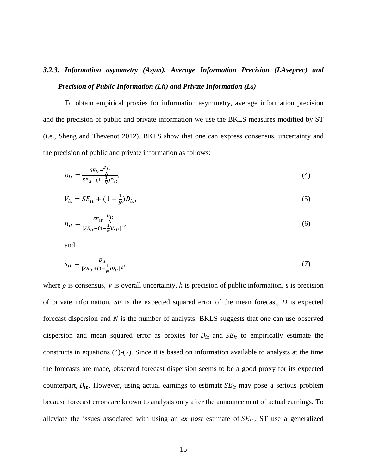# *3.2.3. Information asymmetry (Asym), Average Information Precision (LAveprec) and Precision of Public Information (Lh) and Private Information (Ls)*

To obtain empirical proxies for information asymmetry, average information precision and the precision of public and private information we use the BKLS measures modified by ST (i.e., Sheng and Thevenot 2012). BKLS show that one can express consensus, uncertainty and the precision of public and private information as follows:

$$
\rho_{it} = \frac{SE_{it} - \frac{D_{it}}{N}}{SE_{it} + (1 - \frac{1}{N})D_{it}},\tag{4}
$$

$$
V_{it} = SE_{it} + (1 - \frac{1}{N})D_{it},
$$
\n(5)

$$
h_{it} = \frac{SE_{it} - \frac{D_{it}}{N}}{[SE_{it} + (1 - \frac{1}{N})D_{it}]^2},\tag{6}
$$

and

$$
s_{it} = \frac{D_{it}}{[SE_{it} + (1 - \frac{1}{N})D_{it}]^2},\tag{7}
$$

where  $\rho$  is consensus, *V* is overall uncertainty, *h* is precision of public information, *s* is precision of private information, *SE* is the expected squared error of the mean forecast, *D* is expected forecast dispersion and *N* is the number of analysts. BKLS suggests that one can use observed dispersion and mean squared error as proxies for  $D_{it}$  and  $SE_{it}$  to empirically estimate the constructs in equations (4)-(7). Since it is based on information available to analysts at the time the forecasts are made, observed forecast dispersion seems to be a good proxy for its expected counterpart,  $D_{it}$ . However, using actual earnings to estimate  $SE_{it}$  may pose a serious problem because forecast errors are known to analysts only after the announcement of actual earnings. To alleviate the issues associated with using an  $ex$  post estimate of  $SE_{it}$ , ST use a generalized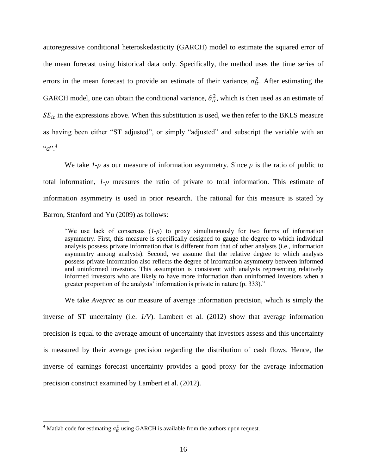autoregressive conditional heteroskedasticity (GARCH) model to estimate the squared error of the mean forecast using historical data only. Specifically, the method uses the time series of errors in the mean forecast to provide an estimate of their variance,  $\sigma_{it}^2$ . After estimating the GARCH model, one can obtain the conditional variance,  $\hat{\sigma}_{it}^2$ , which is then used as an estimate of  $SE_{it}$  in the expressions above. When this substitution is used, we then refer to the BKLS measure as having been either "ST adjusted", or simply "adjusted" and subscript the variable with an  $a^{n+4}$ 

We take  $1-\rho$  as our measure of information asymmetry. Since  $\rho$  is the ratio of public to total information, *1-ρ* measures the ratio of private to total information. This estimate of information asymmetry is used in prior research. The rational for this measure is stated by Barron, Stanford and Yu (2009) as follows:

"We use lack of consensus (*1-ρ*) to proxy simultaneously for two forms of information asymmetry. First, this measure is specifically designed to gauge the degree to which individual analysts possess private information that is different from that of other analysts (i.e., information asymmetry among analysts). Second, we assume that the relative degree to which analysts possess private information also reflects the degree of information asymmetry between informed and uninformed investors. This assumption is consistent with analysts representing relatively informed investors who are likely to have more information than uninformed investors when a greater proportion of the analysts' information is private in nature (p. 333)."

We take *Aveprec* as our measure of average information precision, which is simply the inverse of ST uncertainty (i.e. *1/V*). Lambert et al. (2012) show that average information precision is equal to the average amount of uncertainty that investors assess and this uncertainty is measured by their average precision regarding the distribution of cash flows. Hence, the inverse of earnings forecast uncertainty provides a good proxy for the average information precision construct examined by Lambert et al. (2012).

 $\overline{\phantom{a}}$ 

<sup>&</sup>lt;sup>4</sup> Matlab code for estimating  $\sigma_{it}^2$  using GARCH is available from the authors upon request.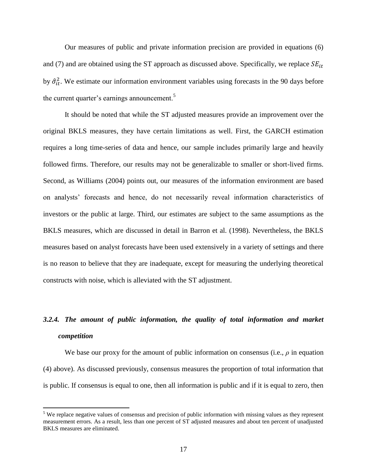Our measures of public and private information precision are provided in equations (6) and (7) and are obtained using the ST approach as discussed above. Specifically, we replace  $SE_{it}$ by  $\hat{\sigma}_{it}^2$ . We estimate our information environment variables using forecasts in the 90 days before the current quarter's earnings announcement.<sup>5</sup>

It should be noted that while the ST adjusted measures provide an improvement over the original BKLS measures, they have certain limitations as well. First, the GARCH estimation requires a long time-series of data and hence, our sample includes primarily large and heavily followed firms. Therefore, our results may not be generalizable to smaller or short-lived firms. Second, as Williams (2004) points out, our measures of the information environment are based on analysts' forecasts and hence, do not necessarily reveal information characteristics of investors or the public at large. Third, our estimates are subject to the same assumptions as the BKLS measures, which are discussed in detail in Barron et al. (1998). Nevertheless, the BKLS measures based on analyst forecasts have been used extensively in a variety of settings and there is no reason to believe that they are inadequate, except for measuring the underlying theoretical constructs with noise, which is alleviated with the ST adjustment.

# *3.2.4. The amount of public information, the quality of total information and market competition*

We base our proxy for the amount of public information on consensus (i.e.,  $\rho$  in equation (4) above). As discussed previously, consensus measures the proportion of total information that is public. If consensus is equal to one, then all information is public and if it is equal to zero, then

 $\overline{\phantom{a}}$ 

<sup>&</sup>lt;sup>5</sup> We replace negative values of consensus and precision of public information with missing values as they represent measurement errors. As a result, less than one percent of ST adjusted measures and about ten percent of unadjusted BKLS measures are eliminated.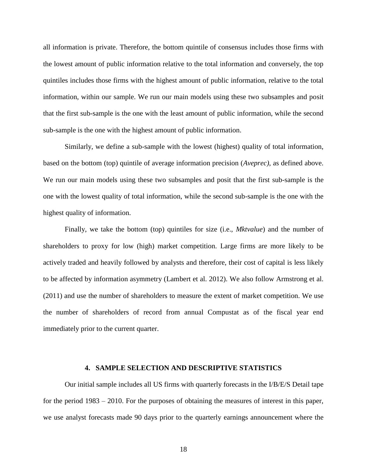all information is private. Therefore, the bottom quintile of consensus includes those firms with the lowest amount of public information relative to the total information and conversely, the top quintiles includes those firms with the highest amount of public information, relative to the total information, within our sample. We run our main models using these two subsamples and posit that the first sub-sample is the one with the least amount of public information, while the second sub-sample is the one with the highest amount of public information.

Similarly, we define a sub-sample with the lowest (highest) quality of total information, based on the bottom (top) quintile of average information precision (*Aveprec)*, as defined above. We run our main models using these two subsamples and posit that the first sub-sample is the one with the lowest quality of total information, while the second sub-sample is the one with the highest quality of information.

Finally, we take the bottom (top) quintiles for size (i.e., *Mktvalue*) and the number of shareholders to proxy for low (high) market competition. Large firms are more likely to be actively traded and heavily followed by analysts and therefore, their cost of capital is less likely to be affected by information asymmetry (Lambert et al. 2012). We also follow Armstrong et al. (2011) and use the number of shareholders to measure the extent of market competition. We use the number of shareholders of record from annual Compustat as of the fiscal year end immediately prior to the current quarter.

#### **4. SAMPLE SELECTION AND DESCRIPTIVE STATISTICS**

Our initial sample includes all US firms with quarterly forecasts in the I/B/E/S Detail tape for the period 1983 – 2010. For the purposes of obtaining the measures of interest in this paper, we use analyst forecasts made 90 days prior to the quarterly earnings announcement where the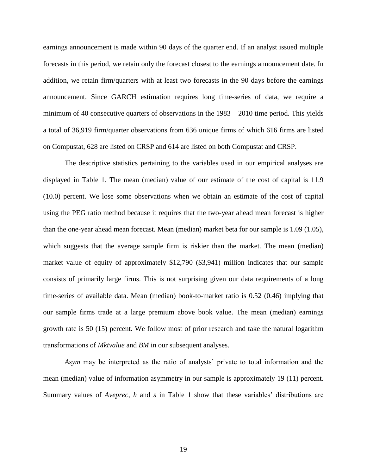earnings announcement is made within 90 days of the quarter end. If an analyst issued multiple forecasts in this period, we retain only the forecast closest to the earnings announcement date. In addition, we retain firm/quarters with at least two forecasts in the 90 days before the earnings announcement. Since GARCH estimation requires long time-series of data, we require a minimum of 40 consecutive quarters of observations in the 1983 – 2010 time period. This yields a total of 36,919 firm/quarter observations from 636 unique firms of which 616 firms are listed on Compustat, 628 are listed on CRSP and 614 are listed on both Compustat and CRSP.

The descriptive statistics pertaining to the variables used in our empirical analyses are displayed in Table 1. The mean (median) value of our estimate of the cost of capital is 11.9 (10.0) percent. We lose some observations when we obtain an estimate of the cost of capital using the PEG ratio method because it requires that the two-year ahead mean forecast is higher than the one-year ahead mean forecast. Mean (median) market beta for our sample is 1.09 (1.05), which suggests that the average sample firm is riskier than the market. The mean (median) market value of equity of approximately \$12,790 (\$3,941) million indicates that our sample consists of primarily large firms. This is not surprising given our data requirements of a long time-series of available data. Mean (median) book-to-market ratio is 0.52 (0.46) implying that our sample firms trade at a large premium above book value. The mean (median) earnings growth rate is 50 (15) percent. We follow most of prior research and take the natural logarithm transformations of *Mktvalue* and *BM* in our subsequent analyses.

*Asym* may be interpreted as the ratio of analysts' private to total information and the mean (median) value of information asymmetry in our sample is approximately 19 (11) percent. Summary values of *Aveprec*, *h* and *s* in Table 1 show that these variables' distributions are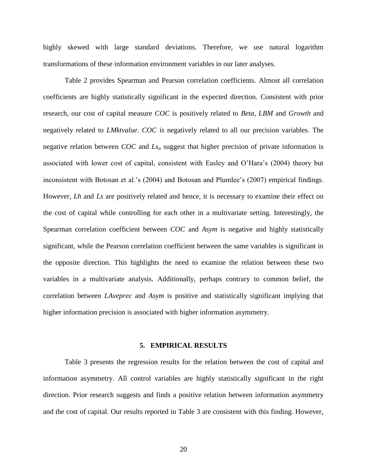highly skewed with large standard deviations. Therefore, we use natural logarithm transformations of these information environment variables in our later analyses.

Table 2 provides Spearman and Pearson correlation coefficients. Almost all correlation coefficients are highly statistically significant in the expected direction. Consistent with prior research, our cost of capital measure *COC* is positively related to *Beta*, *LBM* and *Growth* and negatively related to *LMktvalue*. *COC* is negatively related to all our precision variables. The negative relation between *COC* and *Ls<sup>a</sup>* suggest that higher precision of private information is associated with lower cost of capital, consistent with Easley and O'Hara's (2004) theory but inconsistent with Botosan et al.'s (2004) and Botosan and Plumlee's (2007) empirical findings. However, *Lh* and *Ls* are positively related and hence, it is necessary to examine their effect on the cost of capital while controlling for each other in a multivariate setting. Interestingly, the Spearman correlation coefficient between *COC* and *Asym* is negative and highly statistically significant, while the Pearson correlation coefficient between the same variables is significant in the opposite direction. This highlights the need to examine the relation between these two variables in a multivariate analysis. Additionally, perhaps contrary to common belief, the correlation between *LAveprec* and *Asym* is positive and statistically significant implying that higher information precision is associated with higher information asymmetry.

#### **5. EMPIRICAL RESULTS**

Table 3 presents the regression results for the relation between the cost of capital and information asymmetry. All control variables are highly statistically significant in the right direction. Prior research suggests and finds a positive relation between information asymmetry and the cost of capital. Our results reported in Table 3 are consistent with this finding. However,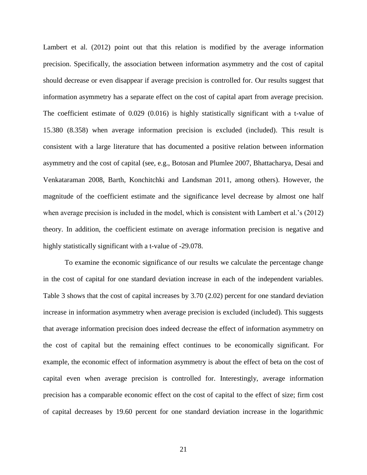Lambert et al. (2012) point out that this relation is modified by the average information precision. Specifically, the association between information asymmetry and the cost of capital should decrease or even disappear if average precision is controlled for. Our results suggest that information asymmetry has a separate effect on the cost of capital apart from average precision. The coefficient estimate of 0.029 (0.016) is highly statistically significant with a t-value of 15.380 (8.358) when average information precision is excluded (included). This result is consistent with a large literature that has documented a positive relation between information asymmetry and the cost of capital (see, e.g., Botosan and Plumlee 2007, Bhattacharya, Desai and Venkataraman 2008, Barth, Konchitchki and Landsman 2011, among others). However, the magnitude of the coefficient estimate and the significance level decrease by almost one half when average precision is included in the model, which is consistent with Lambert et al.'s (2012) theory. In addition, the coefficient estimate on average information precision is negative and highly statistically significant with a t-value of -29.078.

To examine the economic significance of our results we calculate the percentage change in the cost of capital for one standard deviation increase in each of the independent variables. Table 3 shows that the cost of capital increases by 3.70 (2.02) percent for one standard deviation increase in information asymmetry when average precision is excluded (included). This suggests that average information precision does indeed decrease the effect of information asymmetry on the cost of capital but the remaining effect continues to be economically significant. For example, the economic effect of information asymmetry is about the effect of beta on the cost of capital even when average precision is controlled for. Interestingly, average information precision has a comparable economic effect on the cost of capital to the effect of size; firm cost of capital decreases by 19.60 percent for one standard deviation increase in the logarithmic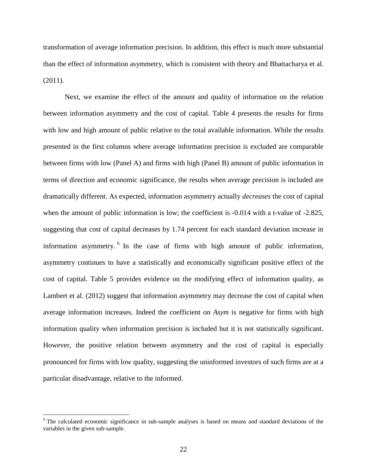transformation of average information precision. In addition, this effect is much more substantial than the effect of information asymmetry, which is consistent with theory and Bhattacharya et al. (2011).

Next, we examine the effect of the amount and quality of information on the relation between information asymmetry and the cost of capital. Table 4 presents the results for firms with low and high amount of public relative to the total available information. While the results presented in the first columns where average information precision is excluded are comparable between firms with low (Panel A) and firms with high (Panel B) amount of public information in terms of direction and economic significance, the results when average precision is included are dramatically different. As expected, information asymmetry actually *decreases* the cost of capital when the amount of public information is low; the coefficient is  $-0.014$  with a t-value of  $-2.825$ , suggesting that cost of capital decreases by 1.74 percent for each standard deviation increase in information asymmetry. <sup>6</sup> In the case of firms with high amount of public information, asymmetry continues to have a statistically and economically significant positive effect of the cost of capital. Table 5 provides evidence on the modifying effect of information quality, as Lambert et al. (2012) suggest that information asymmetry may decrease the cost of capital when average information increases. Indeed the coefficient on *Asym* is negative for firms with high information quality when information precision is included but it is not statistically significant. However, the positive relation between asymmetry and the cost of capital is especially pronounced for firms with low quality, suggesting the uninformed investors of such firms are at a particular disadvantage, relative to the informed.

 $\overline{\phantom{a}}$ 

<sup>&</sup>lt;sup>6</sup> The calculated economic significance in sub-sample analyses is based on means and standard deviations of the variables in the given sub-sample.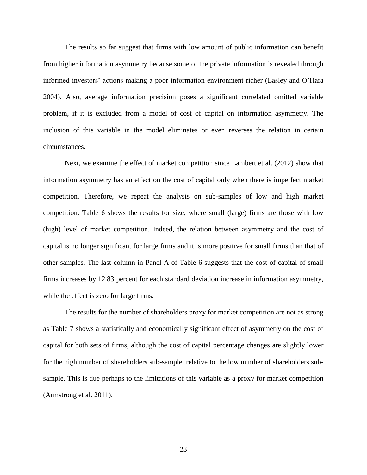The results so far suggest that firms with low amount of public information can benefit from higher information asymmetry because some of the private information is revealed through informed investors' actions making a poor information environment richer (Easley and O'Hara 2004). Also, average information precision poses a significant correlated omitted variable problem, if it is excluded from a model of cost of capital on information asymmetry. The inclusion of this variable in the model eliminates or even reverses the relation in certain circumstances.

Next, we examine the effect of market competition since Lambert et al. (2012) show that information asymmetry has an effect on the cost of capital only when there is imperfect market competition. Therefore, we repeat the analysis on sub-samples of low and high market competition. Table 6 shows the results for size, where small (large) firms are those with low (high) level of market competition. Indeed, the relation between asymmetry and the cost of capital is no longer significant for large firms and it is more positive for small firms than that of other samples. The last column in Panel A of Table 6 suggests that the cost of capital of small firms increases by 12.83 percent for each standard deviation increase in information asymmetry, while the effect is zero for large firms.

The results for the number of shareholders proxy for market competition are not as strong as Table 7 shows a statistically and economically significant effect of asymmetry on the cost of capital for both sets of firms, although the cost of capital percentage changes are slightly lower for the high number of shareholders sub-sample, relative to the low number of shareholders subsample. This is due perhaps to the limitations of this variable as a proxy for market competition (Armstrong et al. 2011).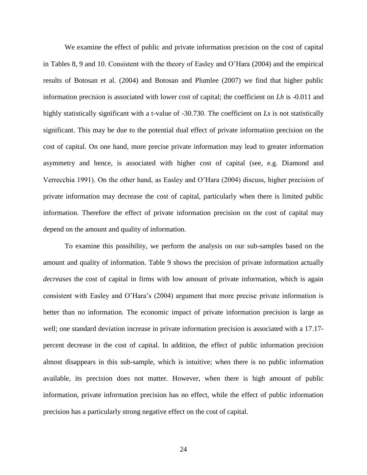We examine the effect of public and private information precision on the cost of capital in Tables 8, 9 and 10. Consistent with the theory of Easley and O'Hara (2004) and the empirical results of Botosan et al. (2004) and Botosan and Plumlee (2007) we find that higher public information precision is associated with lower cost of capital; the coefficient on *Lh* is -0.011 and highly statistically significant with a t-value of -30.730. The coefficient on *Ls* is not statistically significant. This may be due to the potential dual effect of private information precision on the cost of capital. On one hand, more precise private information may lead to greater information asymmetry and hence, is associated with higher cost of capital (see, e.g. Diamond and Verrecchia 1991). On the other hand, as Easley and O'Hara (2004) discuss, higher precision of private information may decrease the cost of capital, particularly when there is limited public information. Therefore the effect of private information precision on the cost of capital may depend on the amount and quality of information.

To examine this possibility, we perform the analysis on our sub-samples based on the amount and quality of information. Table 9 shows the precision of private information actually *decreases* the cost of capital in firms with low amount of private information, which is again consistent with Easley and O'Hara's (2004) argument that more precise private information is better than no information. The economic impact of private information precision is large as well; one standard deviation increase in private information precision is associated with a 17.17 percent decrease in the cost of capital. In addition, the effect of public information precision almost disappears in this sub-sample, which is intuitive; when there is no public information available, its precision does not matter. However, when there is high amount of public information, private information precision has no effect, while the effect of public information precision has a particularly strong negative effect on the cost of capital.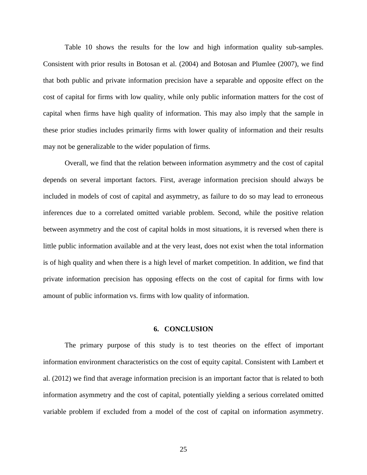Table 10 shows the results for the low and high information quality sub-samples. Consistent with prior results in Botosan et al. (2004) and Botosan and Plumlee (2007), we find that both public and private information precision have a separable and opposite effect on the cost of capital for firms with low quality, while only public information matters for the cost of capital when firms have high quality of information. This may also imply that the sample in these prior studies includes primarily firms with lower quality of information and their results may not be generalizable to the wider population of firms.

Overall, we find that the relation between information asymmetry and the cost of capital depends on several important factors. First, average information precision should always be included in models of cost of capital and asymmetry, as failure to do so may lead to erroneous inferences due to a correlated omitted variable problem. Second, while the positive relation between asymmetry and the cost of capital holds in most situations, it is reversed when there is little public information available and at the very least, does not exist when the total information is of high quality and when there is a high level of market competition. In addition, we find that private information precision has opposing effects on the cost of capital for firms with low amount of public information vs. firms with low quality of information.

### **6. CONCLUSION**

The primary purpose of this study is to test theories on the effect of important information environment characteristics on the cost of equity capital. Consistent with Lambert et al. (2012) we find that average information precision is an important factor that is related to both information asymmetry and the cost of capital, potentially yielding a serious correlated omitted variable problem if excluded from a model of the cost of capital on information asymmetry.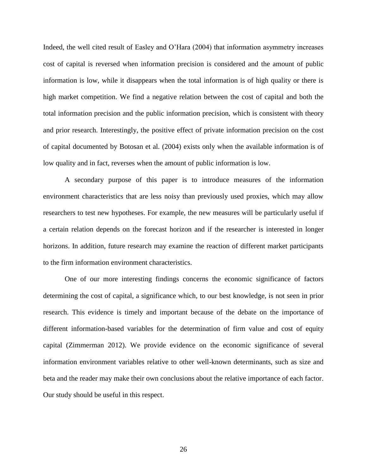Indeed, the well cited result of Easley and O'Hara (2004) that information asymmetry increases cost of capital is reversed when information precision is considered and the amount of public information is low, while it disappears when the total information is of high quality or there is high market competition. We find a negative relation between the cost of capital and both the total information precision and the public information precision, which is consistent with theory and prior research. Interestingly, the positive effect of private information precision on the cost of capital documented by Botosan et al. (2004) exists only when the available information is of low quality and in fact, reverses when the amount of public information is low.

A secondary purpose of this paper is to introduce measures of the information environment characteristics that are less noisy than previously used proxies, which may allow researchers to test new hypotheses. For example, the new measures will be particularly useful if a certain relation depends on the forecast horizon and if the researcher is interested in longer horizons. In addition, future research may examine the reaction of different market participants to the firm information environment characteristics.

One of our more interesting findings concerns the economic significance of factors determining the cost of capital, a significance which, to our best knowledge, is not seen in prior research. This evidence is timely and important because of the debate on the importance of different information-based variables for the determination of firm value and cost of equity capital (Zimmerman 2012). We provide evidence on the economic significance of several information environment variables relative to other well-known determinants, such as size and beta and the reader may make their own conclusions about the relative importance of each factor. Our study should be useful in this respect.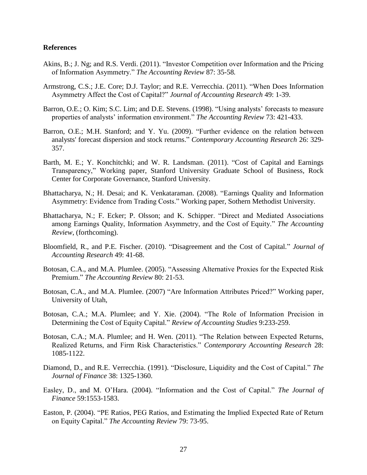### **References**

- Akins, B.; J. Ng; and R.S. Verdi. (2011). "Investor Competition over Information and the Pricing of Information Asymmetry." *The Accounting Review* 87: 35-58*.*
- Armstrong, C.S.; J.E. Core; D.J. Taylor; and R.E. Verrecchia. (2011). "When Does Information Asymmetry Affect the Cost of Capital?" *Journal of Accounting Research* 49: 1-39.
- Barron, O.E.; O. Kim; S.C. Lim; and D.E. Stevens. (1998). "Using analysts' forecasts to measure properties of analysts' information environment." *The Accounting Review* 73: 421-433.
- Barron, O.E.; M.H. Stanford; and Y. Yu. (2009). "Further evidence on the relation between analysts' forecast dispersion and stock returns." *Contemporary Accounting Research* 26: 329- 357.
- Barth, M. E.; Y. Konchitchki; and W. R. Landsman. (2011). "Cost of Capital and Earnings Transparency," Working paper, Stanford University Graduate School of Business, Rock Center for Corporate Governance, Stanford University.
- Bhattacharya, N.; H. Desai; and K. Venkataraman. (2008). "Earnings Quality and Information Asymmetry: Evidence from Trading Costs." Working paper, Sothern Methodist University.
- Bhattacharya, N.; F. Ecker; P. Olsson; and K. Schipper. "Direct and Mediated Associations among Earnings Quality, Information Asymmetry, and the Cost of Equity." *The Accounting Review*, (forthcoming).
- Bloomfield, R., and P.E. Fischer. (2010). "Disagreement and the Cost of Capital." *Journal of Accounting Research* 49: 41-68.
- Botosan, C.A., and M.A. Plumlee. (2005). "Assessing Alternative Proxies for the Expected Risk Premium." *The Accounting Review* 80: 21-53.
- Botosan, C.A., and M.A. Plumlee. (2007) "Are Information Attributes Priced?" Working paper, University of Utah,
- Botosan, C.A.; M.A. Plumlee; and Y. Xie. (2004). "The Role of Information Precision in Determining the Cost of Equity Capital." *Review of Accounting Studies* 9:233-259.
- Botosan, C.A.; M.A. Plumlee; and H. Wen. (2011). "The Relation between Expected Returns, Realized Returns, and Firm Risk Characteristics." *Contemporary Accounting Research* 28: 1085-1122.
- Diamond, D., and R.E. Verrecchia. (1991). "Disclosure, Liquidity and the Cost of Capital." *The Journal of Finance* 38: 1325-1360.
- Easley, D., and M. O'Hara. (2004). "Information and the Cost of Capital." *The Journal of Finance* 59:1553-1583.
- Easton, P. (2004). "PE Ratios, PEG Ratios, and Estimating the Implied Expected Rate of Return on Equity Capital." *The Accounting Review* 79: 73-95.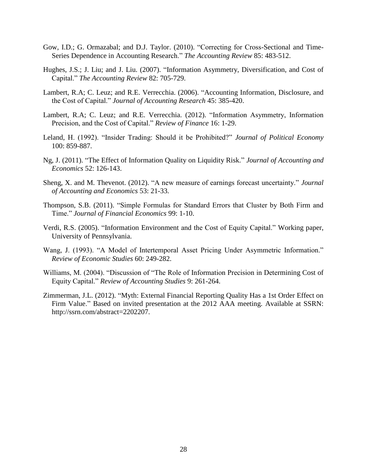- Gow, I.D.; G. Ormazabal; and D.J. Taylor. (2010). "Correcting for Cross-Sectional and Time-Series Dependence in Accounting Research." *The Accounting Review* 85: 483-512.
- Hughes, J.S.; J. Liu; and J. Liu. (2007). "Information Asymmetry, Diversification, and Cost of Capital." *The Accounting Review* 82: 705-729.
- Lambert, R.A; C. Leuz; and R.E. Verrecchia. (2006). "Accounting Information, Disclosure, and the Cost of Capital." *Journal of Accounting Research* 45: 385-420.
- Lambert, R.A; C. Leuz; and R.E. Verrecchia. (2012). "Information Asymmetry, Information Precision, and the Cost of Capital." *Review of Finance* 16: 1-29.
- Leland, H. (1992). "Insider Trading: Should it be Prohibited?" *Journal of Political Economy*  100: 859-887.
- Ng, J. (2011). "The Effect of Information Quality on Liquidity Risk." *Journal of Accounting and Economics* 52: 126-143.
- Sheng, X. and M. Thevenot. (2012). "A new measure of earnings forecast uncertainty." *Journal of Accounting and Economics* 53: 21-33.
- Thompson, S.B. (2011). "Simple Formulas for Standard Errors that Cluster by Both Firm and Time." *Journal of Financial Economics* 99: 1-10.
- Verdi, R.S. (2005). "Information Environment and the Cost of Equity Capital." Working paper, University of Pennsylvania.
- Wang, J. (1993). "A Model of Intertemporal Asset Pricing Under Asymmetric Information." *Review of Economic Studies* 60: 249-282.
- Williams, M. (2004). "Discussion of "The Role of Information Precision in Determining Cost of Equity Capital." *Review of Accounting Studies* 9: 261-264.
- Zimmerman, J.L. (2012). "Myth: External Financial Reporting Quality Has a 1st Order Effect on Firm Value." Based on invited presentation at the 2012 AAA meeting. Available at SSRN: http://ssrn.com/abstract=2202207.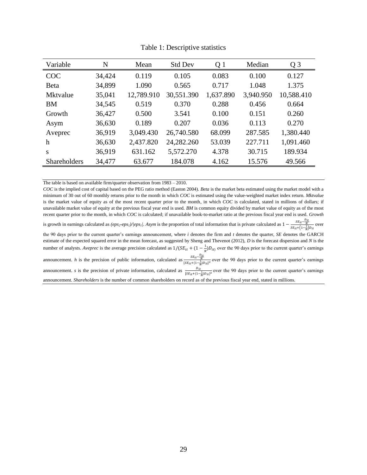| Variable            | N      | Mean       | <b>Std Dev</b> | Q 1       | Median    | Q <sub>3</sub> |
|---------------------|--------|------------|----------------|-----------|-----------|----------------|
| <b>COC</b>          | 34,424 | 0.119      | 0.105          | 0.083     | 0.100     | 0.127          |
| Beta                | 34,899 | 1.090      | 0.565          | 0.717     | 1.048     | 1.375          |
| <b>Mktvalue</b>     | 35,041 | 12,789.910 | 30,551.390     | 1,637.890 | 3,940.950 | 10,588.410     |
| <b>BM</b>           | 34,545 | 0.519      | 0.370          | 0.288     | 0.456     | 0.664          |
| Growth              | 36,427 | 0.500      | 3.541          | 0.100     | 0.151     | 0.260          |
| Asym                | 36,630 | 0.189      | 0.207          | 0.036     | 0.113     | 0.270          |
| Aveprec             | 36,919 | 3,049.430  | 26,740.580     | 68.099    | 287.585   | 1,380.440      |
| h                   | 36,630 | 2,437.820  | 24,282.260     | 53.039    | 227.711   | 1,091.460      |
| S                   | 36,919 | 631.162    | 5,572.270      | 4.378     | 30.715    | 189.934        |
| <b>Shareholders</b> | 34,477 | 63.677     | 184.078        | 4.162     | 15.576    | 49.566         |

Table 1: Descriptive statistics

The table is based on available firm/quarter observation from 1983 – 2010.

*COC* is the implied cost of capital based on the PEG ratio method (Easton 2004). *Beta* is the market beta estimated using the market model with a minimum of 30 out of 60 monthly returns prior to the month in which *COC* is estimated using the value-weighted market index return. *Mktvalue* is the market value of equity as of the most recent quarter prior to the month, in which *COC* is calculated, stated in millions of dollars; if unavailable market value of equity at the previous fiscal year end is used. *BM* is common equity divided by market value of equity as of the most recent quarter prior to the month, in which *COC* is calculated; if unavailable book-to-market ratio at the previous fiscal year end is used. *Growth* is growth in earnings calculated as  $(eps_2 \text{-}eps_1) / [eps_1]$ . Asym is the proportion of total information that is private calculated as  $1 - \frac{SE_{it} - \frac{D_{it}}{N}}{SE_{it} + (1 - \frac{1}{N})D_{it}}$  over the 90 days prior to the current quarter's earnings announcement, where *i* denotes the firm and *t* denotes the quarter, *SE* denotes the GARCH estimate of the expected squared error in the mean forecast, as suggested by Sheng and Thevenot (2012), *D* is the forecast dispersion and *N* is the number of analysts. *Aveprec* is the average precision calculated as  $1/(SE_{it} + (1 - \frac{1}{N})$  $\frac{1}{N}$ ) D<sub>it)</sub> over the 90 days prior to the current quarter's earnings announcement. *h* is the precision of public information, calculated as  $\frac{SE_{lt} - \frac{D_{lt}}{N}}{[SE_{lt} + (1 - \frac{1}{N})D_{lt}]^2}$  over the 90 days prior to the current quarter's earnings

announcement. *s* is the precision of private information, calculated as  $\frac{\nu_{lt}}{[SE_{lt}+(1-\frac{1}{N})D_{lt}]^2}$  over the 90 days prior to the current quarter's earnings

announcement. *Shareholders* is the number of common shareholders on record as of the previous fiscal year end, stated in millions.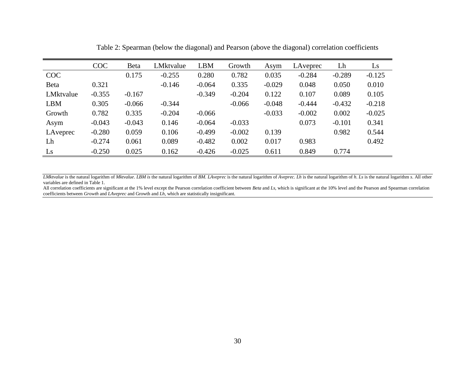|            | <b>COC</b> | Beta     | LMktvalue | <b>LBM</b> | Growth   | Asym     | LAveprec | Lh       | Ls       |
|------------|------------|----------|-----------|------------|----------|----------|----------|----------|----------|
| COC        |            | 0.175    | $-0.255$  | 0.280      | 0.782    | 0.035    | $-0.284$ | $-0.289$ | $-0.125$ |
| Beta       | 0.321      |          | $-0.146$  | $-0.064$   | 0.335    | $-0.029$ | 0.048    | 0.050    | 0.010    |
| LMktvalue  | $-0.355$   | $-0.167$ |           | $-0.349$   | $-0.204$ | 0.122    | 0.107    | 0.089    | 0.105    |
| <b>LBM</b> | 0.305      | $-0.066$ | $-0.344$  |            | $-0.066$ | $-0.048$ | $-0.444$ | $-0.432$ | $-0.218$ |
| Growth     | 0.782      | 0.335    | $-0.204$  | $-0.066$   |          | $-0.033$ | $-0.002$ | 0.002    | $-0.025$ |
| Asym       | $-0.043$   | $-0.043$ | 0.146     | $-0.064$   | $-0.033$ |          | 0.073    | $-0.101$ | 0.341    |
| LAveprec   | $-0.280$   | 0.059    | 0.106     | $-0.499$   | $-0.002$ | 0.139    |          | 0.982    | 0.544    |
| Lh         | $-0.274$   | 0.061    | 0.089     | $-0.482$   | 0.002    | 0.017    | 0.983    |          | 0.492    |
| Ls         | $-0.250$   | 0.025    | 0.162     | $-0.426$   | $-0.025$ | 0.611    | 0.849    | 0.774    |          |

Table 2: Spearman (below the diagonal) and Pearson (above the diagonal) correlation coefficients

*LMktvalue* is the natural logarithm of Mktvalue. LBM is the natural logarithm of BM. LAveprec is the natural logarithm of Aveprec. Lh is the natural logarithm of h. Ls is the natural logarithm s. All other variables are defined in Table 1.

All correlation coefficients are significant at the 1% level except the Pearson correlation coefficient between *Beta* and *Ls*, which is significant at the 10% level and the Pearson and Spearman correlation coefficients between *Growth* and *LAveprec* and Growth and *Lh*, which are statistically insignificant.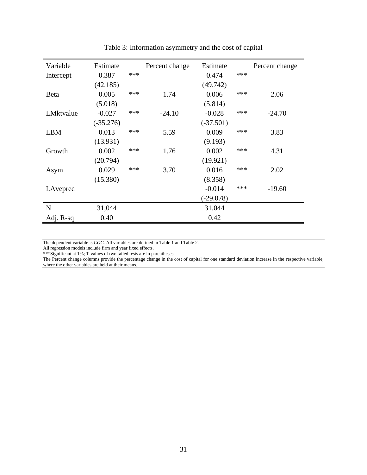| Variable    | Estimate    |     | Percent change | Estimate    |     | Percent change |
|-------------|-------------|-----|----------------|-------------|-----|----------------|
| Intercept   | 0.387       | *** |                | 0.474       | *** |                |
|             | (42.185)    |     |                | (49.742)    |     |                |
| <b>Beta</b> | 0.005       | *** | 1.74           | 0.006       | *** | 2.06           |
|             | (5.018)     |     |                | (5.814)     |     |                |
| LMktvalue   | $-0.027$    | *** | $-24.10$       | $-0.028$    | *** | $-24.70$       |
|             | $(-35.276)$ |     |                | $(-37.501)$ |     |                |
| <b>LBM</b>  | 0.013       | *** | 5.59           | 0.009       | *** | 3.83           |
|             | (13.931)    |     |                | (9.193)     |     |                |
| Growth      | 0.002       | *** | 1.76           | 0.002       | *** | 4.31           |
|             | (20.794)    |     |                | (19.921)    |     |                |
| Asym        | 0.029       | *** | 3.70           | 0.016       | *** | 2.02           |
|             | (15.380)    |     |                | (8.358)     |     |                |
| LAveprec    |             |     |                | $-0.014$    | *** | $-19.60$       |
|             |             |     |                | $(-29.078)$ |     |                |
| $\mathbf N$ | 31,044      |     |                | 31,044      |     |                |
| Adj. R-sq   | 0.40        |     |                | 0.42        |     |                |

Table 3: Information asymmetry and the cost of capital

The dependent variable is *COC*. All variables are defined in Table 1 and Table 2.

All regression models include firm and year fixed effects.

\*\*\*Significant at 1%; T-values of two tailed tests are in parentheses.

The Percent change columns provide the percentage change in the cost of capital for one standard deviation increase in the respective variable, where the other variables are held at their means.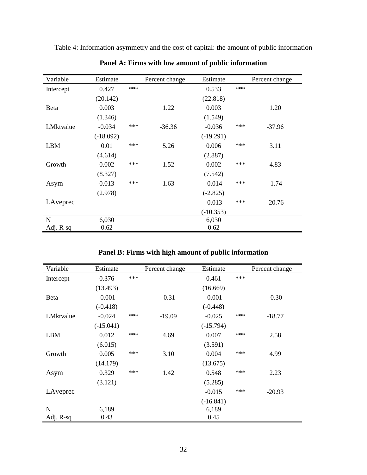| Variable     | Estimate    |     | Percent change | Estimate    |     | Percent change |
|--------------|-------------|-----|----------------|-------------|-----|----------------|
| Intercept    | 0.427       | *** |                | 0.533       | *** |                |
|              | (20.142)    |     |                | (22.818)    |     |                |
| <b>B</b> eta | 0.003       |     | 1.22           | 0.003       |     | 1.20           |
|              | (1.346)     |     |                | (1.549)     |     |                |
| LMktvalue    | $-0.034$    | *** | $-36.36$       | $-0.036$    | *** | $-37.96$       |
|              | $(-18.092)$ |     |                | $(-19.291)$ |     |                |
| <b>LBM</b>   | 0.01        | *** | 5.26           | 0.006       | *** | 3.11           |
|              | (4.614)     |     |                | (2.887)     |     |                |
| Growth       | 0.002       | *** | 1.52           | 0.002       | *** | 4.83           |
|              | (8.327)     |     |                | (7.542)     |     |                |
| Asym         | 0.013       | *** | 1.63           | $-0.014$    | *** | $-1.74$        |
|              | (2.978)     |     |                | $(-2.825)$  |     |                |
| LAveprec     |             |     |                | $-0.013$    | *** | $-20.76$       |
|              |             |     |                | $(-10.353)$ |     |                |
| $\mathbf N$  | 6,030       |     |                | 6,030       |     |                |
| Adj. R-sq    | 0.62        |     |                | 0.62        |     |                |

Table 4: Information asymmetry and the cost of capital: the amount of public information

**Panel A: Firms with low amount of public information**

| Panel B: Firms with high amount of public information |
|-------------------------------------------------------|
|-------------------------------------------------------|

| Variable     | Estimate    |     | Percent change | Estimate    |     | Percent change |
|--------------|-------------|-----|----------------|-------------|-----|----------------|
| Intercept    | 0.376       | *** |                | 0.461       | *** |                |
|              | (13.493)    |     |                | (16.669)    |     |                |
| <b>B</b> eta | $-0.001$    |     | $-0.31$        | $-0.001$    |     | $-0.30$        |
|              | $(-0.418)$  |     |                | $(-0.448)$  |     |                |
| LMktvalue    | $-0.024$    | *** | $-19.09$       | $-0.025$    | *** | $-18.77$       |
|              | $(-15.041)$ |     |                | $(-15.794)$ |     |                |
| <b>LBM</b>   | 0.012       | *** | 4.69           | 0.007       | *** | 2.58           |
|              | (6.015)     |     |                | (3.591)     |     |                |
| Growth       | 0.005       | *** | 3.10           | 0.004       | *** | 4.99           |
|              | (14.179)    |     |                | (13.675)    |     |                |
| Asym         | 0.329       | *** | 1.42           | 0.548       | *** | 2.23           |
|              | (3.121)     |     |                | (5.285)     |     |                |
| LAveprec     |             |     |                | $-0.015$    | *** | $-20.93$       |
|              |             |     |                | $(-16.841)$ |     |                |
| $\mathbf N$  | 6,189       |     |                | 6,189       |     |                |
| Adj. R-sq    | 0.43        |     |                | 0.45        |     |                |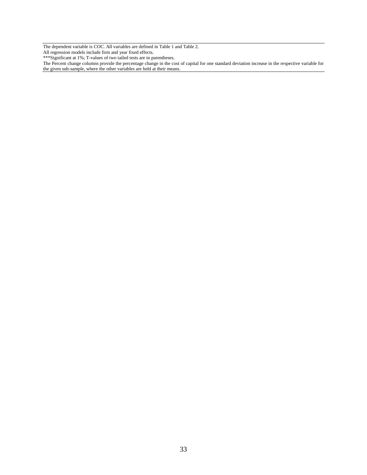The dependent variable is *COC*. All variables are defined in Table 1 and Table 2.

All regression models include firm and year fixed effects.

\*\*\*Significant at 1%; T-values of two tailed tests are in parentheses.

The Percent change columns provide the percentage change in the cost of capital for one standard deviation increase in the respective variable for the given sub-sample, where the other variables are held at their means.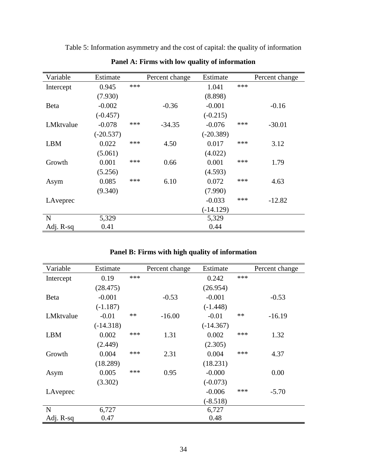| Variable   | Estimate    |       | Percent change | Estimate    |     | Percent change |
|------------|-------------|-------|----------------|-------------|-----|----------------|
| Intercept  | 0.945       | $***$ |                | 1.041       | *** |                |
|            | (7.930)     |       |                | (8.898)     |     |                |
| Beta       | $-0.002$    |       | $-0.36$        | $-0.001$    |     | $-0.16$        |
|            | $(-0.457)$  |       |                | $(-0.215)$  |     |                |
| LMktvalue  | $-0.078$    | ***   | $-34.35$       | $-0.076$    | *** | $-30.01$       |
|            | $(-20.537)$ |       |                | $(-20.389)$ |     |                |
| <b>LBM</b> | 0.022       | ***   | 4.50           | 0.017       | *** | 3.12           |
|            | (5.061)     |       |                | (4.022)     |     |                |
| Growth     | 0.001       | ***   | 0.66           | 0.001       | *** | 1.79           |
|            | (5.256)     |       |                | (4.593)     |     |                |
| Asym       | 0.085       | ***   | 6.10           | 0.072       | *** | 4.63           |
|            | (9.340)     |       |                | (7.990)     |     |                |
| LAveprec   |             |       |                | $-0.033$    | *** | $-12.82$       |
|            |             |       |                | $(-14.129)$ |     |                |
| N          | 5,329       |       |                | 5,329       |     |                |
| Adj. R-sq  | 0.41        |       |                | 0.44        |     |                |

Table 5: Information asymmetry and the cost of capital: the quality of information

**Panel A: Firms with low quality of information**

|  |  |  |  |  | Panel B: Firms with high quality of information |  |
|--|--|--|--|--|-------------------------------------------------|--|
|--|--|--|--|--|-------------------------------------------------|--|

| Variable   | Estimate    |       | Percent change | Estimate    |      | Percent change |
|------------|-------------|-------|----------------|-------------|------|----------------|
| Intercept  | 0.19        | $***$ |                | 0.242       | ***  |                |
|            | (28.475)    |       |                | (26.954)    |      |                |
| Beta       | $-0.001$    |       | $-0.53$        | $-0.001$    |      | $-0.53$        |
|            | $(-1.187)$  |       |                | $(-1.448)$  |      |                |
| LMktvalue  | $-0.01$     | $**$  | $-16.00$       | $-0.01$     | $**$ | $-16.19$       |
|            | $(-14.318)$ |       |                | $(-14.367)$ |      |                |
| <b>LBM</b> | 0.002       | ***   | 1.31           | 0.002       | ***  | 1.32           |
|            | (2.449)     |       |                | (2.305)     |      |                |
| Growth     | 0.004       | ***   | 2.31           | 0.004       | ***  | 4.37           |
|            | (18.289)    |       |                | (18.231)    |      |                |
| Asym       | 0.005       | ***   | 0.95           | $-0.000$    |      | 0.00           |
|            | (3.302)     |       |                | $(-0.073)$  |      |                |
| LAveprec   |             |       |                | $-0.006$    | ***  | $-5.70$        |
|            |             |       |                | $(-8.518)$  |      |                |
| N          | 6,727       |       |                | 6,727       |      |                |
| Adj. R-sq  | 0.47        |       |                | 0.48        |      |                |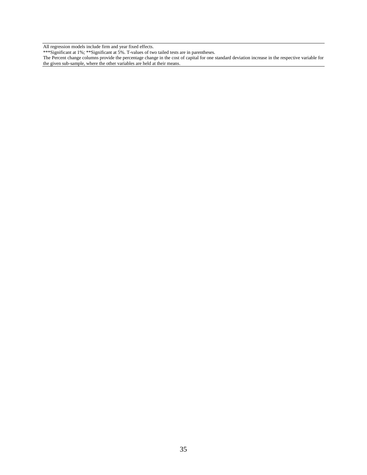All regression models include firm and year fixed effects.

\*\*\*Significant at 1%; \*\*Significant at 5%. T-values of two tailed tests are in parentheses.

The Percent change columns provide the percentage change in the cost of capital for one standard deviation increase in the respective variable for the given sub-sample, where the other variables are held at their means.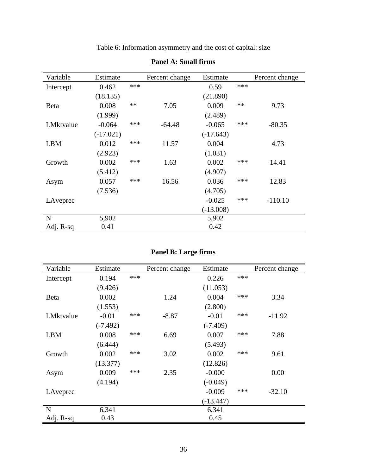Table 6: Information asymmetry and the cost of capital: size

| Variable    | Estimate    |       | Percent change | Estimate    |            | Percent change |
|-------------|-------------|-------|----------------|-------------|------------|----------------|
| Intercept   | 0.462       | $***$ |                | 0.59        | ***        |                |
|             | (18.135)    |       |                | (21.890)    |            |                |
| Beta        | 0.008       | $**$  | 7.05           | 0.009       | $\ast\ast$ | 9.73           |
|             | (1.999)     |       |                | (2.489)     |            |                |
| LMktvalue   | $-0.064$    | ***   | $-64.48$       | $-0.065$    | ***        | $-80.35$       |
|             | $(-17.021)$ |       |                | $(-17.643)$ |            |                |
| <b>LBM</b>  | 0.012       | $***$ | 11.57          | 0.004       |            | 4.73           |
|             | (2.923)     |       |                | (1.031)     |            |                |
| Growth      | 0.002       | ***   | 1.63           | 0.002       | ***        | 14.41          |
|             | (5.412)     |       |                | (4.907)     |            |                |
| Asym        | 0.057       | ***   | 16.56          | 0.036       | ***        | 12.83          |
|             | (7.536)     |       |                | (4.705)     |            |                |
| LAveprec    |             |       |                | $-0.025$    | ***        | $-110.10$      |
|             |             |       |                | $(-13.008)$ |            |                |
| $\mathbf N$ | 5,902       |       |                | 5,902       |            |                |
| Adj. R-sq   | 0.41        |       |                | 0.42        |            |                |

## **Panel A: Small firms**

| <b>Panel B: Large firms</b> |  |  |  |  |
|-----------------------------|--|--|--|--|
|-----------------------------|--|--|--|--|

| Variable   | Estimate   |     | Percent change | Estimate    |     | Percent change |
|------------|------------|-----|----------------|-------------|-----|----------------|
| Intercept  | 0.194      | *** |                | 0.226       | *** |                |
|            | (9.426)    |     |                | (11.053)    |     |                |
| Beta       | 0.002      |     | 1.24           | 0.004       | *** | 3.34           |
|            | (1.553)    |     |                | (2.800)     |     |                |
| LMktvalue  | $-0.01$    | *** | $-8.87$        | $-0.01$     | *** | $-11.92$       |
|            | $(-7.492)$ |     |                | $(-7.409)$  |     |                |
| <b>LBM</b> | 0.008      | *** | 6.69           | 0.007       | *** | 7.88           |
|            | (6.444)    |     |                | (5.493)     |     |                |
| Growth     | 0.002      | *** | 3.02           | 0.002       | *** | 9.61           |
|            | (13.377)   |     |                | (12.826)    |     |                |
| Asym       | 0.009      | *** | 2.35           | $-0.000$    |     | 0.00           |
|            | (4.194)    |     |                | $(-0.049)$  |     |                |
| LAveprec   |            |     |                | $-0.009$    | *** | $-32.10$       |
|            |            |     |                | $(-13.447)$ |     |                |
| N          | 6,341      |     |                | 6,341       |     |                |
| Adj. R-sq  | 0.43       |     |                | 0.45        |     |                |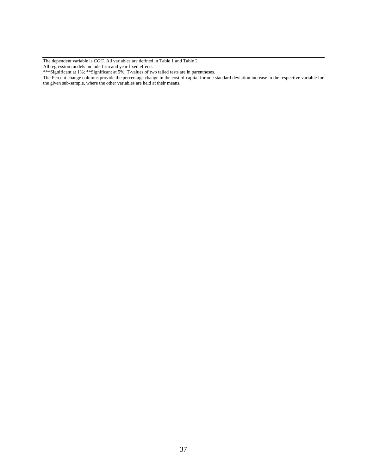The dependent variable is *COC*. All variables are defined in Table 1 and Table 2.

All regression models include firm and year fixed effects.

\*\*\*Significant at 1%; \*\*Significant at 5%. T-values of two tailed tests are in parentheses.

The Percent change columns provide the percentage change in the cost of capital for one standard deviation increase in the respective variable for the given sub-sample, where the other variables are held at their means.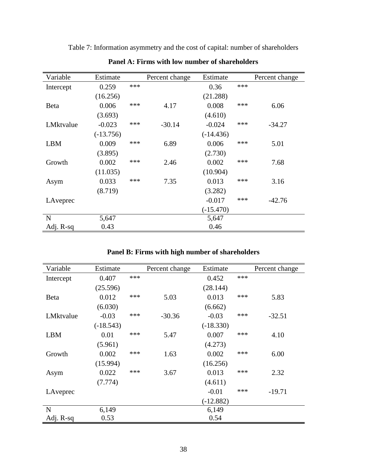| Variable   | Estimate    |       | Percent change | Estimate    |     | Percent change |
|------------|-------------|-------|----------------|-------------|-----|----------------|
| Intercept  | 0.259       | $***$ |                | 0.36        | *** |                |
|            | (16.256)    |       |                | (21.288)    |     |                |
| Beta       | 0.006       | ***   | 4.17           | 0.008       | *** | 6.06           |
|            | (3.693)     |       |                | (4.610)     |     |                |
| LMktvalue  | $-0.023$    | ***   | $-30.14$       | $-0.024$    | *** | $-34.27$       |
|            | $(-13.756)$ |       |                | $(-14.436)$ |     |                |
|            |             | ***   |                |             | *** |                |
| <b>LBM</b> | 0.009       |       | 6.89           | 0.006       |     | 5.01           |
|            | (3.895)     |       |                | (2.730)     |     |                |
| Growth     | 0.002       | ***   | 2.46           | 0.002       | *** | 7.68           |
|            | (11.035)    |       |                | (10.904)    |     |                |
| Asym       | 0.033       | ***   | 7.35           | 0.013       | *** | 3.16           |
|            | (8.719)     |       |                | (3.282)     |     |                |
| LAveprec   |             |       |                | $-0.017$    | *** | $-42.76$       |
|            |             |       |                | $(-15.470)$ |     |                |
| N          | 5,647       |       |                | 5,647       |     |                |
| Adj. R-sq  | 0.43        |       |                | 0.46        |     |                |

Table 7: Information asymmetry and the cost of capital: number of shareholders

**Panel A: Firms with low number of shareholders**

| Variable    | Estimate    |     | Percent change | Estimate    |     | Percent change |
|-------------|-------------|-----|----------------|-------------|-----|----------------|
| Intercept   | 0.407       | *** |                | 0.452       | *** |                |
|             | (25.596)    |     |                | (28.144)    |     |                |
| <b>Beta</b> | 0.012       | *** | 5.03           | 0.013       | *** | 5.83           |
|             | (6.030)     |     |                | (6.662)     |     |                |
| LMktvalue   | $-0.03$     | *** | $-30.36$       | $-0.03$     | *** | $-32.51$       |
|             | $(-18.543)$ |     |                | $(-18.330)$ |     |                |
| <b>LBM</b>  | 0.01        | *** | 5.47           | 0.007       | *** | 4.10           |
|             | (5.961)     |     |                | (4.273)     |     |                |
| Growth      | 0.002       | *** | 1.63           | 0.002       | *** | 6.00           |
|             | (15.994)    |     |                | (16.256)    |     |                |
| Asym        | 0.022       | *** | 3.67           | 0.013       | *** | 2.32           |
|             | (7.774)     |     |                | (4.611)     |     |                |
| LAveprec    |             |     |                | $-0.01$     | *** | $-19.71$       |

N 6,149 6,149 Adj. R-sq 0.53 0.54

## **Panel B: Firms with high number of shareholders**

(-12.882)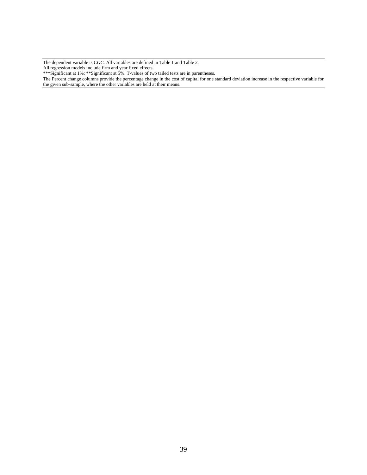The dependent variable is *COC*. All variables are defined in Table 1 and Table 2. All regression models include firm and year fixed effects.

\*\*\*Significant at 1%; \*\*Significant at 5%. T-values of two tailed tests are in parentheses.

The Percent change columns provide the percentage change in the cost of capital for one standard deviation increase in the respective variable for the given sub-sample, where the other variables are held at their means.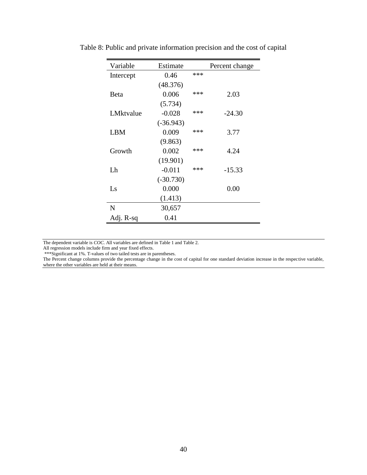| Variable    | Estimate    |     | Percent change |
|-------------|-------------|-----|----------------|
| Intercept   | 0.46        | *** |                |
|             | (48.376)    |     |                |
| Beta        | 0.006       | *** | 2.03           |
|             | (5.734)     |     |                |
| LMktvalue   | $-0.028$    | *** | $-24.30$       |
|             | $(-36.943)$ |     |                |
| LBM         | 0.009       | *** | 3.77           |
|             | (9.863)     |     |                |
| Growth      | 0.002       | *** | 4.24           |
|             | (19.901)    |     |                |
| Lh          | $-0.011$    | *** | $-15.33$       |
|             | $(-30.730)$ |     |                |
| $L_{\rm S}$ | 0.000       |     | 0.00           |
|             | (1.413)     |     |                |
| N           | 30,657      |     |                |
| Adj. R-sq   | 0.41        |     |                |

Table 8: Public and private information precision and the cost of capital

The dependent variable is *COC*. All variables are defined in Table 1 and Table 2.

All regression models include firm and year fixed effects.

\*\*\*Significant at 1%. T-values of two tailed tests are in parentheses.

The Percent change columns provide the percentage change in the cost of capital for one standard deviation increase in the respective variable, where the other variables are held at their means.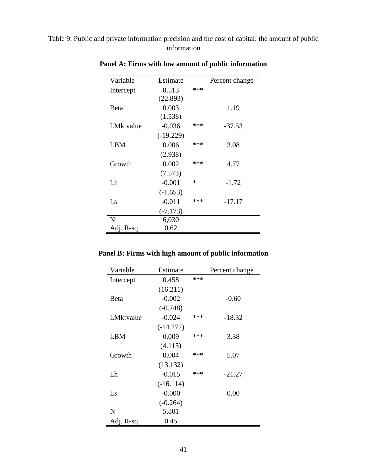Table 9: Public and private information precision and the cost of capital: the amount of public information

| Variable    | Estimate    |     | Percent change |
|-------------|-------------|-----|----------------|
| Intercept   | 0.513       | *** |                |
|             | (22.893)    |     |                |
| <b>Beta</b> | 0.003       |     | 1.19           |
|             | (1.538)     |     |                |
| LMktvalue   | $-0.036$    | *** | $-37.53$       |
|             | $(-19.229)$ |     |                |
| LBM         | 0.006       | *** | 3.08           |
|             | (2.938)     |     |                |
| Growth      | 0.002       | *** | 4.77           |
|             | (7.573)     |     |                |
| Lh          | $-0.001$    | ∗   | $-1.72$        |
|             | $(-1.653)$  |     |                |
| Ls          | $-0.011$    | *** | $-17.17$       |
|             | $(-7.173)$  |     |                |
| N           | 6,030       |     |                |
| Adj. R-sq   | 0.62        |     |                |

**Panel A: Firms with low amount of public information**

| Panel B: Firms with high amount of public information |  |  |
|-------------------------------------------------------|--|--|
|                                                       |  |  |

| Variable    | Estimate    |     | Percent change |
|-------------|-------------|-----|----------------|
| Intercept   | 0.458       | *** |                |
|             | (16.211)    |     |                |
| <b>Beta</b> | $-0.002$    |     | $-0.60$        |
|             | $(-0.748)$  |     |                |
| LMktvalue   | $-0.024$    | *** | $-18.32$       |
|             | $(-14.272)$ |     |                |
| LBM         | 0.009       | *** | 3.38           |
|             | (4.115)     |     |                |
| Growth      | 0.004       | *** | 5.07           |
|             | (13.132)    |     |                |
| Lh          | $-0.015$    | *** | $-21.27$       |
|             | $(-16.114)$ |     |                |
| Ls          | $-0.000$    |     | 0.00           |
|             | $(-0.264)$  |     |                |
| N           | 5,801       |     |                |
| Adj. R-sq   | 0.45        |     |                |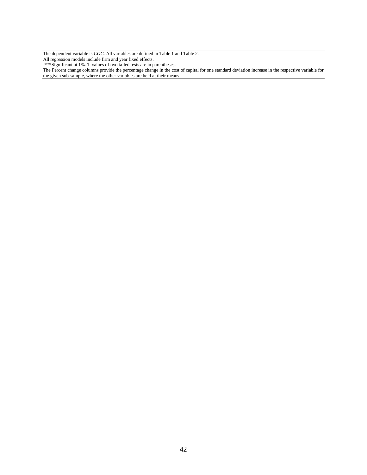The dependent variable is *COC*. All variables are defined in Table 1 and Table 2. All regression models include firm and year fixed effects.

\*\*\*Significant at 1%. T-values of two tailed tests are in parentheses.

The Percent change columns provide the percentage change in the cost of capital for one standard deviation increase in the respective variable for the given sub-sample, where the other variables are held at their means.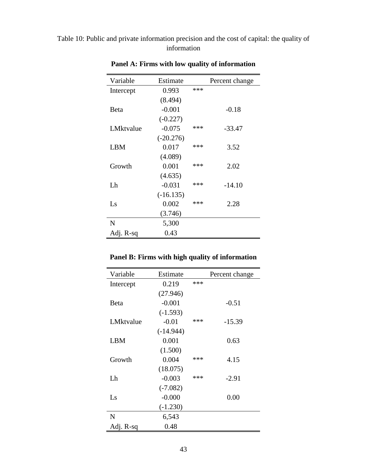## Table 10: Public and private information precision and the cost of capital: the quality of information

| Variable   | Estimate    |     | Percent change |
|------------|-------------|-----|----------------|
| Intercept  | 0.993       | *** |                |
|            | (8.494)     |     |                |
| Beta       | $-0.001$    |     | $-0.18$        |
|            | $(-0.227)$  |     |                |
| LMktvalue  | $-0.075$    | *** | $-33.47$       |
|            | $(-20.276)$ |     |                |
| <b>LBM</b> | 0.017       | *** | 3.52           |
|            | (4.089)     |     |                |
| Growth     | 0.001       | *** | 2.02           |
|            | (4.635)     |     |                |
| Lh         | $-0.031$    | *** | $-14.10$       |
|            | $(-16.135)$ |     |                |
| Ls         | 0.002       | *** | 2.28           |
|            | (3.746)     |     |                |
| N          | 5,300       |     |                |
| Adj. R-sq  | 0.43        |     |                |

**Panel A: Firms with low quality of information**

## **Panel B: Firms with high quality of information**

| Variable  | Estimate    |     | Percent change |
|-----------|-------------|-----|----------------|
| Intercept | 0.219       | *** |                |
|           | (27.946)    |     |                |
| Beta      | $-0.001$    |     | $-0.51$        |
|           | $(-1.593)$  |     |                |
| LMktvalue | $-0.01$     | *** | $-15.39$       |
|           | $(-14.944)$ |     |                |
| LBM       | 0.001       |     | 0.63           |
|           | (1.500)     |     |                |
| Growth    | 0.004       | *** | 4.15           |
|           | (18.075)    |     |                |
| Lh        | $-0.003$    | *** | $-2.91$        |
|           | $(-7.082)$  |     |                |
| Ls        | $-0.000$    |     | 0.00           |
|           | $(-1.230)$  |     |                |
| N         | 6,543       |     |                |
| Adj. R-sq | 0.48        |     |                |